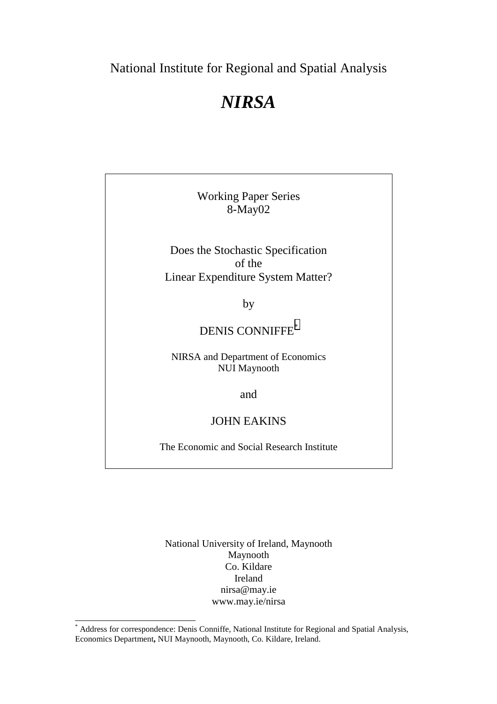National Institute for Regional and Spatial Analysis

# *NIRSA*

Working Paper Series 8-May02

Does the Stochastic Specification of the Linear Expenditure System Matter?

by

## DENIS CONNIFFE<sup>\*</sup>

NIRSA and Department of Economics NUI Maynooth

and

### JOHN EAKINS

The Economic and Social Research Institute

National University of Ireland, Maynooth Maynooth Co. Kildare Ireland nirsa@may.ie www.may.ie/nirsa

l

<sup>\*</sup> Address for correspondence: Denis Conniffe, National Institute for Regional and Spatial Analysis, Economics Department**,** NUI Maynooth, Maynooth, Co. Kildare, Ireland.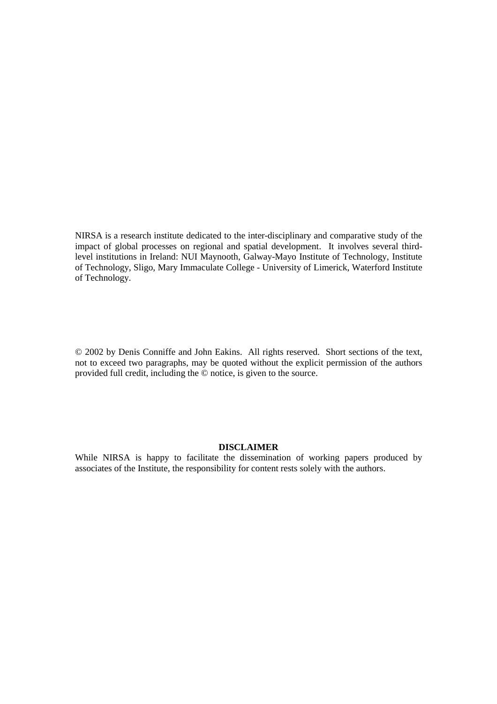NIRSA is a research institute dedicated to the inter-disciplinary and comparative study of the impact of global processes on regional and spatial development. It involves several thirdlevel institutions in Ireland: NUI Maynooth, Galway-Mayo Institute of Technology, Institute of Technology, Sligo, Mary Immaculate College - University of Limerick, Waterford Institute of Technology.

© 2002 by Denis Conniffe and John Eakins. All rights reserved. Short sections of the text, not to exceed two paragraphs, may be quoted without the explicit permission of the authors provided full credit, including the © notice, is given to the source.

#### **DISCLAIMER**

While NIRSA is happy to facilitate the dissemination of working papers produced by associates of the Institute, the responsibility for content rests solely with the authors.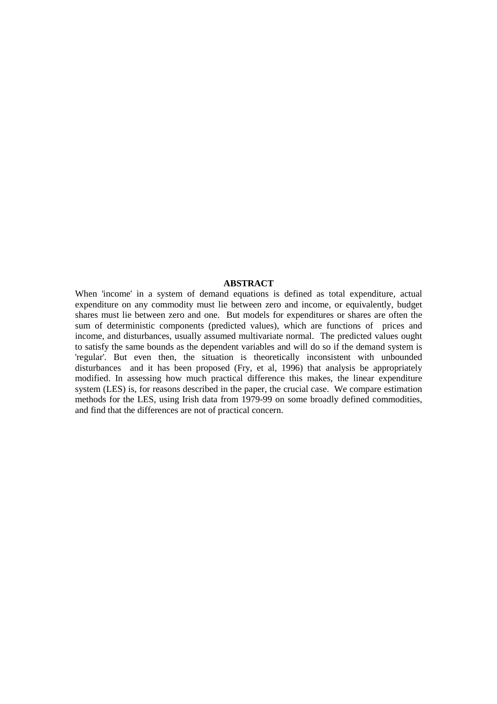#### **ABSTRACT**

When 'income' in a system of demand equations is defined as total expenditure, actual expenditure on any commodity must lie between zero and income, or equivalently, budget shares must lie between zero and one. But models for expenditures or shares are often the sum of deterministic components (predicted values), which are functions of prices and income, and disturbances, usually assumed multivariate normal. The predicted values ought to satisfy the same bounds as the dependent variables and will do so if the demand system is 'regular'. But even then, the situation is theoretically inconsistent with unbounded disturbances and it has been proposed (Fry, et al, 1996) that analysis be appropriately modified. In assessing how much practical difference this makes, the linear expenditure system (LES) is, for reasons described in the paper, the crucial case. We compare estimation methods for the LES, using Irish data from 1979-99 on some broadly defined commodities, and find that the differences are not of practical concern.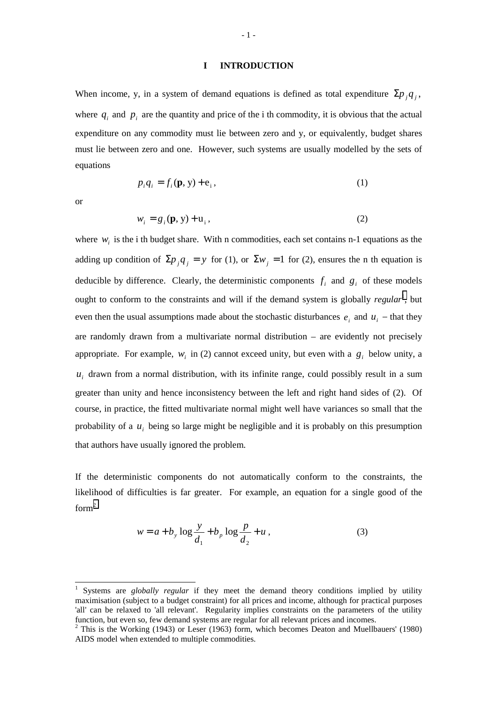#### **I INTRODUCTION**

When income, y, in a system of demand equations is defined as total expenditure  $\sum p_i q_i$ , where  $q_i$  and  $p_i$  are the quantity and price of the i th commodity, it is obvious that the actual expenditure on any commodity must lie between zero and y, or equivalently, budget shares must lie between zero and one. However, such systems are usually modelled by the sets of equations

$$
p_i q_i = f_i(\mathbf{p}, \mathbf{y}) + \mathbf{e}_i,\tag{1}
$$

or

 $\overline{\phantom{a}}$ 

$$
w_i = g_i(\mathbf{p}, \mathbf{y}) + \mathbf{u}_i,\tag{2}
$$

where  $w_i$  is the i th budget share. With n commodities, each set contains n-1 equations as the adding up condition of  $\Sigma p_i q_i = y$  for (1), or  $\Sigma w_i = 1$  for (2), ensures the n th equation is deducible by difference. Clearly, the deterministic components  $f_i$  and  $g_i$  of these models ought to conform to the constraints and will if the demand system is globally *regular*<sup>1</sup>, but even then the usual assumptions made about the stochastic disturbances  $e_i$  and  $u_i$  – that they are randomly drawn from a multivariate normal distribution – are evidently not precisely appropriate. For example,  $w_i$  in (2) cannot exceed unity, but even with a  $g_i$  below unity, a  $u_i$  drawn from a normal distribution, with its infinite range, could possibly result in a sum greater than unity and hence inconsistency between the left and right hand sides of (2). Of course, in practice, the fitted multivariate normal might well have variances so small that the probability of a  $u_i$  being so large might be negligible and it is probably on this presumption that authors have usually ignored the problem.

If the deterministic components do not automatically conform to the constraints, the likelihood of difficulties is far greater. For example, an equation for a single good of the form2

$$
w = a + b_y \log \frac{y}{d_1} + b_p \log \frac{p}{d_2} + u,
$$
 (3)

<sup>1</sup> Systems are *globally regular* if they meet the demand theory conditions implied by utility maximisation (subject to a budget constraint) for all prices and income, although for practical purposes 'all' can be relaxed to 'all relevant'. Regularity implies constraints on the parameters of the utility function, but even so, few demand systems are regular for all relevant prices and incomes.

 $2$  This is the Working (1943) or Leser (1963) form, which becomes Deaton and Muellbauers' (1980) AIDS model when extended to multiple commodities.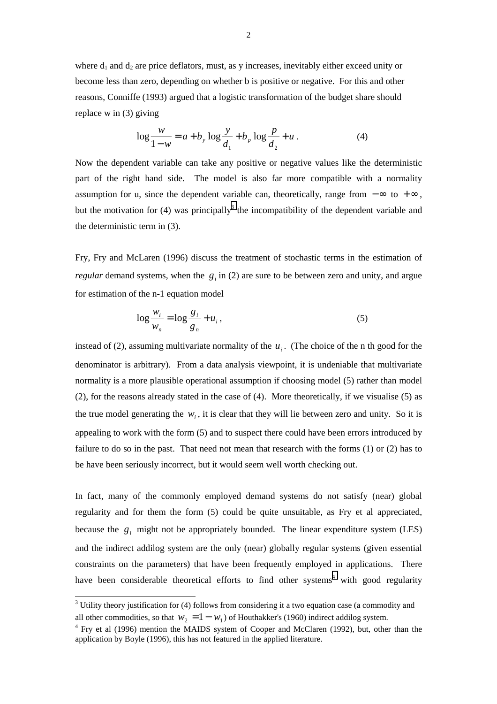where  $d_1$  and  $d_2$  are price deflators, must, as y increases, inevitably either exceed unity or become less than zero, depending on whether b is positive or negative. For this and other reasons, Conniffe (1993) argued that a logistic transformation of the budget share should replace w in (3) giving

$$
\log \frac{w}{1 - w} = a + b_y \log \frac{y}{d_1} + b_p \log \frac{p}{d_2} + u \,. \tag{4}
$$

Now the dependent variable can take any positive or negative values like the deterministic part of the right hand side. The model is also far more compatible with a normality assumption for u, since the dependent variable can, theoretically, range from  $-\infty$  to  $+\infty$ , but the motivation for  $(4)$  was principally<sup>3</sup> the incompatibility of the dependent variable and the deterministic term in (3).

Fry, Fry and McLaren (1996) discuss the treatment of stochastic terms in the estimation of *regular* demand systems, when the  $g_i$  in (2) are sure to be between zero and unity, and argue for estimation of the n-1 equation model

$$
\log \frac{w_i}{w_n} = \log \frac{g_i}{g_n} + u_i, \qquad (5)
$$

instead of (2), assuming multivariate normality of the  $u_i$ . (The choice of the n th good for the denominator is arbitrary). From a data analysis viewpoint, it is undeniable that multivariate normality is a more plausible operational assumption if choosing model (5) rather than model (2), for the reasons already stated in the case of (4). More theoretically, if we visualise (5) as the true model generating the  $w_i$ , it is clear that they will lie between zero and unity. So it is appealing to work with the form (5) and to suspect there could have been errors introduced by failure to do so in the past. That need not mean that research with the forms (1) or (2) has to be have been seriously incorrect, but it would seem well worth checking out.

In fact, many of the commonly employed demand systems do not satisfy (near) global regularity and for them the form (5) could be quite unsuitable, as Fry et al appreciated, because the  $g_i$  might not be appropriately bounded. The linear expenditure system (LES) and the indirect addilog system are the only (near) globally regular systems (given essential constraints on the parameters) that have been frequently employed in applications. There have been considerable theoretical efforts to find other systems<sup>4</sup> with good regularity

<sup>&</sup>lt;sup>3</sup> Utility theory justification for (4) follows from considering it a two equation case (a commodity and all other commodities, so that  $w_2 = 1 - w_1$  of Houthakker's (1960) indirect addilog system.

<sup>&</sup>lt;sup>4</sup> Fry et al (1996) mention the MAIDS system of Cooper and McClaren (1992), but, other than the application by Boyle (1996), this has not featured in the applied literature.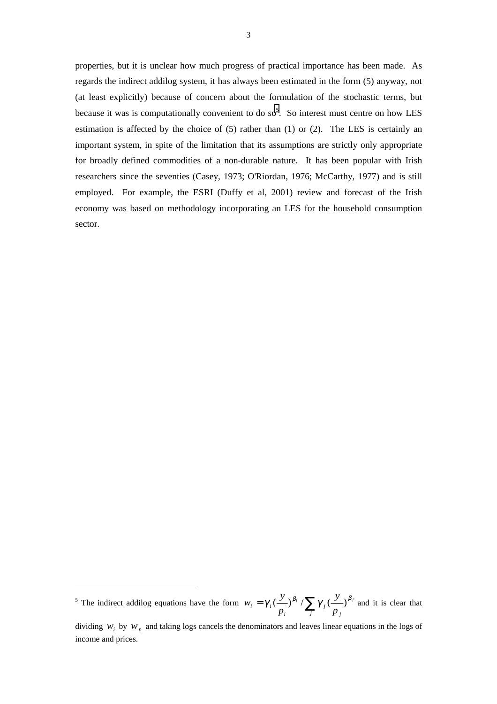properties, but it is unclear how much progress of practical importance has been made. As regards the indirect addilog system, it has always been estimated in the form (5) anyway, not (at least explicitly) because of concern about the formulation of the stochastic terms, but because it was is computationally convenient to do so<sup>5</sup>. So interest must centre on how LES estimation is affected by the choice of (5) rather than (1) or (2). The LES is certainly an important system, in spite of the limitation that its assumptions are strictly only appropriate for broadly defined commodities of a non-durable nature. It has been popular with Irish researchers since the seventies (Casey, 1973; O'Riordan, 1976; McCarthy, 1977) and is still employed. For example, the ESRI (Duffy et al, 2001) review and forecast of the Irish economy was based on methodology incorporating an LES for the household consumption sector.

 $\overline{\phantom{a}}$ 

<sup>&</sup>lt;sup>5</sup> The indirect addilog equations have the form  $w_i = \gamma_i \left(\frac{y}{p_i}\right)^{\beta_i} / \sum_j \gamma_j \left(\frac{y}{p_j}\right)^{\beta_j}$ *j i*  $\gamma_i = \gamma_i (\frac{J}{\cdot})^{p_i} / \sum_{j} \gamma_j (\frac{J}{\cdot})^{p_j}$ *p y p*  $w_i = \gamma_i \left(\frac{y}{y}\right)^{\beta_i} / \sum_j \gamma_i \left(\frac{y}{y}\right)^{\beta_j}$  and it is clear that

dividing  $w_i$  by  $w_n$  and taking logs cancels the denominators and leaves linear equations in the logs of income and prices.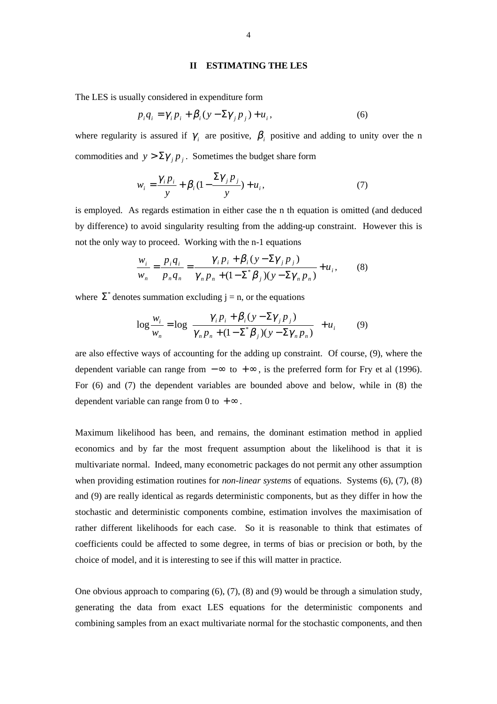#### **II ESTIMATING THE LES**

The LES is usually considered in expenditure form

$$
p_i q_i = \gamma_i p_i + \beta_i (y - \Sigma \gamma_j p_j) + u_i, \qquad (6)
$$

where regularity is assured if  $\gamma_i$  are positive,  $\beta_i$  positive and adding to unity over the n commodities and  $y > \sum \gamma_i p_i$ . Sometimes the budget share form

$$
w_i = \frac{\gamma_i p_i}{y} + \beta_i (1 - \frac{\Sigma \gamma_j p_j}{y}) + u_i,
$$
\n(7)

is employed. As regards estimation in either case the n th equation is omitted (and deduced by difference) to avoid singularity resulting from the adding-up constraint. However this is not the only way to proceed. Working with the n-1 equations

$$
\frac{w_i}{w_n} = \frac{p_i q_i}{p_n q_n} = \frac{\gamma_i p_i + \beta_i (y - \Sigma \gamma_j p_j)}{\gamma_n p_n + (1 - \Sigma^* \beta_j) (y - \Sigma \gamma_n p_n)} + u_i, \tag{8}
$$

where  $\Sigma^*$  denotes summation excluding j = n, or the equations

$$
\log \frac{w_i}{w_n} = \log \left\{ \frac{\gamma_i p_i + \beta_i (y - \Sigma \gamma_j p_j)}{\gamma_n p_n + (1 - \Sigma^* \beta_j) (y - \Sigma \gamma_n p_n)} \right\} + u_i \tag{9}
$$

are also effective ways of accounting for the adding up constraint. Of course, (9), where the dependent variable can range from  $-\infty$  to  $+\infty$ , is the preferred form for Fry et al (1996). For (6) and (7) the dependent variables are bounded above and below, while in (8) the dependent variable can range from 0 to  $+\infty$ .

Maximum likelihood has been, and remains, the dominant estimation method in applied economics and by far the most frequent assumption about the likelihood is that it is multivariate normal. Indeed, many econometric packages do not permit any other assumption when providing estimation routines for *non-linear systems* of equations. Systems (6), (7), (8) and (9) are really identical as regards deterministic components, but as they differ in how the stochastic and deterministic components combine, estimation involves the maximisation of rather different likelihoods for each case. So it is reasonable to think that estimates of coefficients could be affected to some degree, in terms of bias or precision or both, by the choice of model, and it is interesting to see if this will matter in practice.

One obvious approach to comparing (6), (7), (8) and (9) would be through a simulation study, generating the data from exact LES equations for the deterministic components and combining samples from an exact multivariate normal for the stochastic components, and then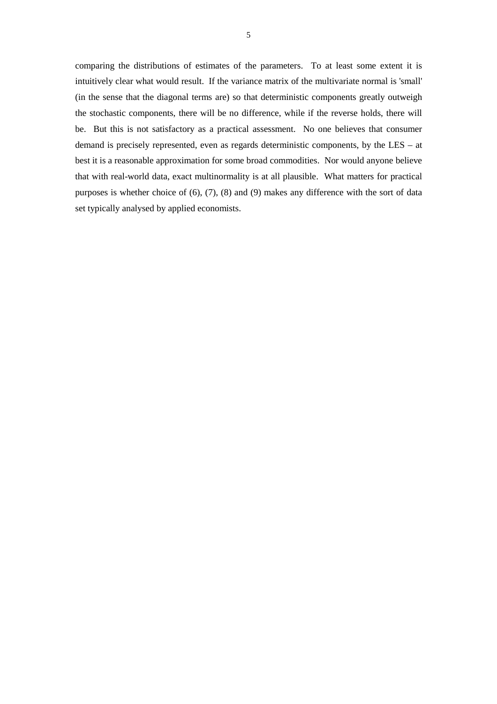comparing the distributions of estimates of the parameters. To at least some extent it is intuitively clear what would result. If the variance matrix of the multivariate normal is 'small' (in the sense that the diagonal terms are) so that deterministic components greatly outweigh the stochastic components, there will be no difference, while if the reverse holds, there will be. But this is not satisfactory as a practical assessment. No one believes that consumer demand is precisely represented, even as regards deterministic components, by the LES – at best it is a reasonable approximation for some broad commodities. Nor would anyone believe that with real-world data, exact multinormality is at all plausible. What matters for practical purposes is whether choice of (6), (7), (8) and (9) makes any difference with the sort of data set typically analysed by applied economists.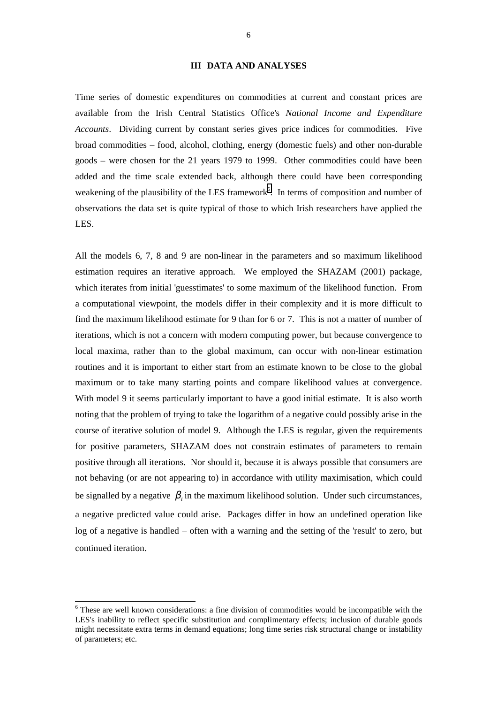#### **III DATA AND ANALYSES**

Time series of domestic expenditures on commodities at current and constant prices are available from the Irish Central Statistics Office's *National Income and Expenditure Accounts*. Dividing current by constant series gives price indices for commodities. Five broad commodities – food, alcohol, clothing, energy (domestic fuels) and other non-durable goods – were chosen for the 21 years 1979 to 1999. Other commodities could have been added and the time scale extended back, although there could have been corresponding weakening of the plausibility of the LES framework<sup>6</sup>. In terms of composition and number of observations the data set is quite typical of those to which Irish researchers have applied the LES.

All the models 6, 7, 8 and 9 are non-linear in the parameters and so maximum likelihood estimation requires an iterative approach. We employed the SHAZAM (2001) package, which iterates from initial 'guesstimates' to some maximum of the likelihood function. From a computational viewpoint, the models differ in their complexity and it is more difficult to find the maximum likelihood estimate for 9 than for 6 or 7. This is not a matter of number of iterations, which is not a concern with modern computing power, but because convergence to local maxima, rather than to the global maximum, can occur with non-linear estimation routines and it is important to either start from an estimate known to be close to the global maximum or to take many starting points and compare likelihood values at convergence. With model 9 it seems particularly important to have a good initial estimate. It is also worth noting that the problem of trying to take the logarithm of a negative could possibly arise in the course of iterative solution of model 9. Although the LES is regular, given the requirements for positive parameters, SHAZAM does not constrain estimates of parameters to remain positive through all iterations. Nor should it, because it is always possible that consumers are not behaving (or are not appearing to) in accordance with utility maximisation, which could be signalled by a negative  $\beta$ <sub>i</sub> in the maximum likelihood solution. Under such circumstances, a negative predicted value could arise. Packages differ in how an undefined operation like log of a negative is handled − often with a warning and the setting of the 'result' to zero, but continued iteration.

 $\overline{a}$ 

<sup>&</sup>lt;sup>6</sup> These are well known considerations: a fine division of commodities would be incompatible with the LES's inability to reflect specific substitution and complimentary effects; inclusion of durable goods might necessitate extra terms in demand equations; long time series risk structural change or instability of parameters; etc.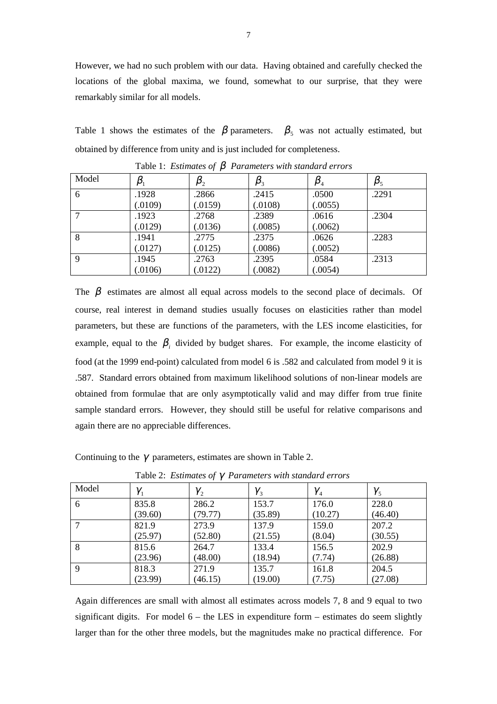However, we had no such problem with our data. Having obtained and carefully checked the locations of the global maxima, we found, somewhat to our surprise, that they were remarkably similar for all models.

Table 1 shows the estimates of the  $\beta$  parameters.  $\beta_5$  was not actually estimated, but obtained by difference from unity and is just included for completeness.

| Model | $\pmb{\beta}_1$ | $\pmb{\beta}_2$ | $\pmb{\beta}_3$ | $\pmb{\beta}_4$ | $\beta_{\scriptscriptstyle{5}}$ |
|-------|-----------------|-----------------|-----------------|-----------------|---------------------------------|
| 6     | .1928           | .2866           | .2415           | .0500           | .2291                           |
|       | (.0109)         | (.0159)         | (.0108)         | (.0055)         |                                 |
| ⇁     | .1923           | .2768           | .2389           | .0616           | .2304                           |
|       | (.0129)         | (.0136)         | (.0085)         | (.0062)         |                                 |
| 8     | .1941           | .2775           | .2375           | .0626           | .2283                           |
|       | (.0127)         | (.0125)         | (.0086)         | (.0052)         |                                 |
| 9     | .1945           | .2763           | .2395           | .0584           | .2313                           |
|       | (.0106)         | (.0122)         | (.0082)         | (.0054)         |                                 |

Table 1: *Estimates of* β *Parameters with standard errors*

The  $\beta$  estimates are almost all equal across models to the second place of decimals. Of course, real interest in demand studies usually focuses on elasticities rather than model parameters, but these are functions of the parameters, with the LES income elasticities, for example, equal to the  $\beta_i$  divided by budget shares. For example, the income elasticity of food (at the 1999 end-point) calculated from model 6 is .582 and calculated from model 9 it is .587. Standard errors obtained from maximum likelihood solutions of non-linear models are obtained from formulae that are only asymptotically valid and may differ from true finite sample standard errors. However, they should still be useful for relative comparisons and again there are no appreciable differences.

Continuing to the  $\gamma$  parameters, estimates are shown in Table 2.

| Model | $\gamma_{1}$ | $\gamma_{2}$ | $\gamma_{3}$ | $\gamma_4$ | $\gamma_{5}$ |
|-------|--------------|--------------|--------------|------------|--------------|
| 6     | 835.8        | 286.2        | 153.7        | 176.0      | 228.0        |
|       | (39.60)      | (79.77)      | (35.89)      | (10.27)    | (46.40)      |
|       | 821.9        | 273.9        | 137.9        | 159.0      | 207.2        |
|       | (25.97)      | (52.80)      | (21.55)      | (8.04)     | (30.55)      |
| 8     | 815.6        | 264.7        | 133.4        | 156.5      | 202.9        |
|       | (23.96)      | (48.00)      | (18.94)      | (7.74)     | (26.88)      |
| 9     | 818.3        | 271.9        | 135.7        | 161.8      | 204.5        |
|       | (23.99)      | (46.15)      | (19.00)      | (7.75)     | (27.08)      |

Table 2: *Estimates of* γ *Parameters with standard errors*

Again differences are small with almost all estimates across models 7, 8 and 9 equal to two significant digits. For model  $6 -$  the LES in expenditure form  $-$  estimates do seem slightly larger than for the other three models, but the magnitudes make no practical difference. For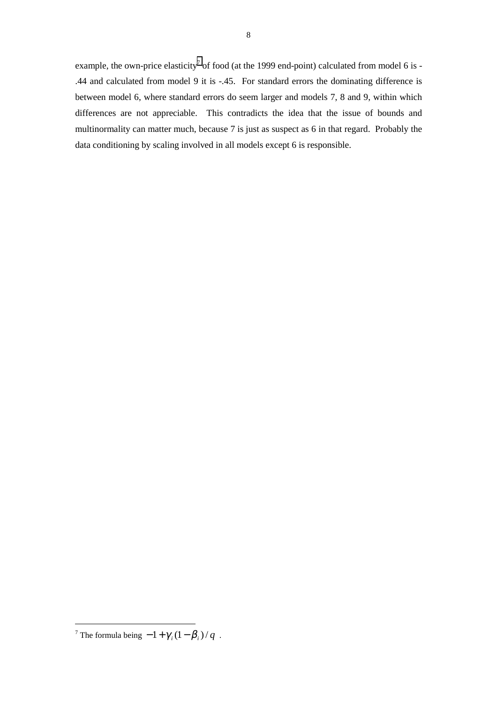example, the own-price elasticity<sup>7</sup> of food (at the 1999 end-point) calculated from model 6 is -.44 and calculated from model 9 it is -.45. For standard errors the dominating difference is between model 6, where standard errors do seem larger and models 7, 8 and 9, within which differences are not appreciable. This contradicts the idea that the issue of bounds and multinormality can matter much, because 7 is just as suspect as 6 in that regard. Probably the data conditioning by scaling involved in all models except 6 is responsible.

 $\overline{a}$ 

<sup>&</sup>lt;sup>7</sup> The formula being  $-1 + \gamma_i (1 - \beta_i) / q$ .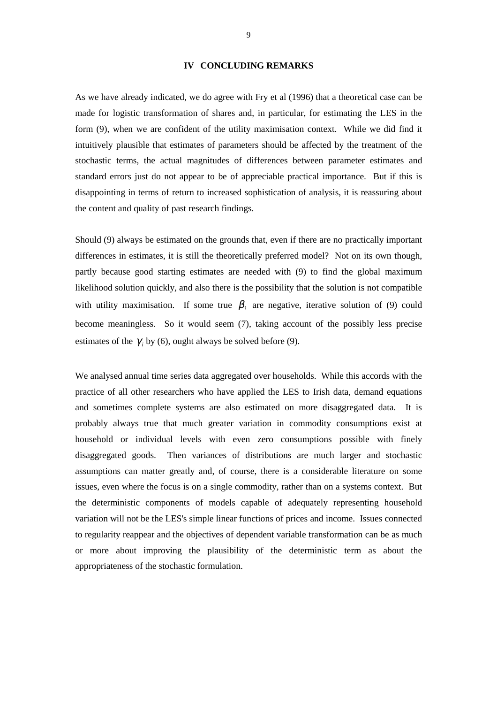#### **IV CONCLUDING REMARKS**

As we have already indicated, we do agree with Fry et al (1996) that a theoretical case can be made for logistic transformation of shares and, in particular, for estimating the LES in the form (9), when we are confident of the utility maximisation context. While we did find it intuitively plausible that estimates of parameters should be affected by the treatment of the stochastic terms, the actual magnitudes of differences between parameter estimates and standard errors just do not appear to be of appreciable practical importance. But if this is disappointing in terms of return to increased sophistication of analysis, it is reassuring about the content and quality of past research findings.

Should (9) always be estimated on the grounds that, even if there are no practically important differences in estimates, it is still the theoretically preferred model? Not on its own though, partly because good starting estimates are needed with (9) to find the global maximum likelihood solution quickly, and also there is the possibility that the solution is not compatible with utility maximisation. If some true  $\beta_i$  are negative, iterative solution of (9) could become meaningless. So it would seem (7), taking account of the possibly less precise estimates of the  $\gamma$ , by (6), ought always be solved before (9).

We analysed annual time series data aggregated over households. While this accords with the practice of all other researchers who have applied the LES to Irish data, demand equations and sometimes complete systems are also estimated on more disaggregated data. It is probably always true that much greater variation in commodity consumptions exist at household or individual levels with even zero consumptions possible with finely disaggregated goods. Then variances of distributions are much larger and stochastic assumptions can matter greatly and, of course, there is a considerable literature on some issues, even where the focus is on a single commodity, rather than on a systems context. But the deterministic components of models capable of adequately representing household variation will not be the LES's simple linear functions of prices and income. Issues connected to regularity reappear and the objectives of dependent variable transformation can be as much or more about improving the plausibility of the deterministic term as about the appropriateness of the stochastic formulation.